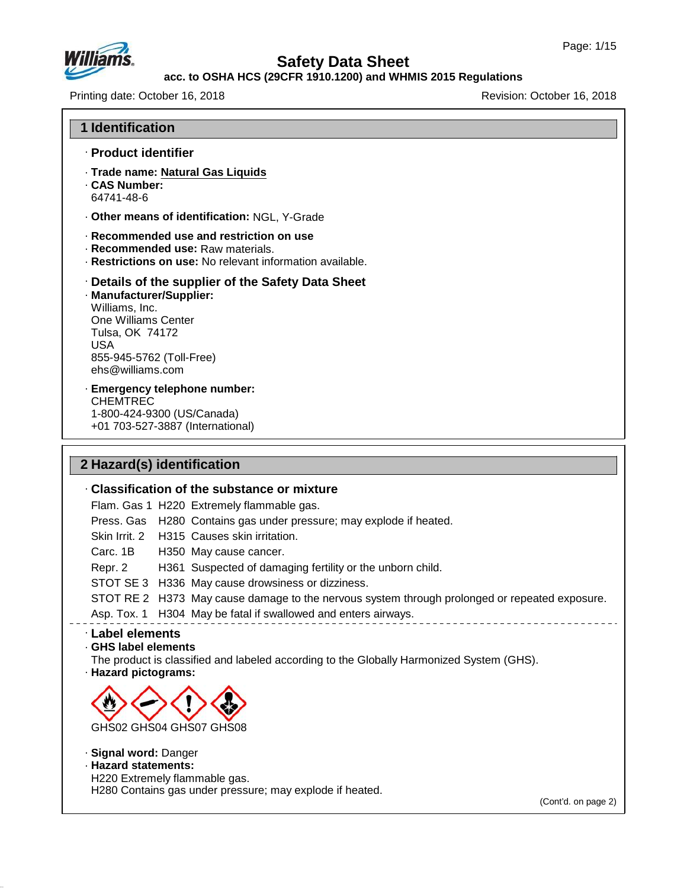

## **Safety Data Sheet**

### **acc. to OSHA HCS (29CFR 1910.1200) and WHMIS 2015 Regulations**

Printing date: October 16, 2018 **Printing date: October 16, 2018** 

| <b>1 Identification</b>                                                                                                                                                                                                                                                                                                                                                                                                                                                                                 |
|---------------------------------------------------------------------------------------------------------------------------------------------------------------------------------------------------------------------------------------------------------------------------------------------------------------------------------------------------------------------------------------------------------------------------------------------------------------------------------------------------------|
| · Product identifier                                                                                                                                                                                                                                                                                                                                                                                                                                                                                    |
| · Trade name: Natural Gas Liquids<br>. CAS Number:<br>64741-48-6                                                                                                                                                                                                                                                                                                                                                                                                                                        |
| . Other means of identification: NGL, Y-Grade                                                                                                                                                                                                                                                                                                                                                                                                                                                           |
| Recommended use and restriction on use<br>· Recommended use: Raw materials.<br>Restrictions on use: No relevant information available.                                                                                                                                                                                                                                                                                                                                                                  |
| Details of the supplier of the Safety Data Sheet<br>· Manufacturer/Supplier:<br>Williams, Inc.<br>One Williams Center<br>Tulsa, OK 74172<br><b>USA</b><br>855-945-5762 (Toll-Free)<br>ehs@williams.com                                                                                                                                                                                                                                                                                                  |
| · Emergency telephone number:<br><b>CHEMTREC</b><br>1-800-424-9300 (US/Canada)<br>+01 703-527-3887 (International)                                                                                                                                                                                                                                                                                                                                                                                      |
| 2 Hazard(s) identification                                                                                                                                                                                                                                                                                                                                                                                                                                                                              |
| . Classification of the substance or mixture                                                                                                                                                                                                                                                                                                                                                                                                                                                            |
| Flam. Gas 1 H220 Extremely flammable gas.<br>Press. Gas H280 Contains gas under pressure; may explode if heated.<br>H315 Causes skin irritation.<br>Skin Irrit, 2<br>Carc. 1B<br>H350 May cause cancer.<br>Repr. 2<br>H361 Suspected of damaging fertility or the unborn child.<br>STOT SE 3 H336 May cause drowsiness or dizziness.<br>STOT RE 2 H373 May cause damage to the nervous system through prolonged or repeated exposure.<br>Asp. Tox. 1 H304 May be fatal if swallowed and enters airways. |
| · Label elements<br>GHS label elements<br>The product is classified and labeled according to the Globally Harmonized System (GHS).<br>· Hazard pictograms:                                                                                                                                                                                                                                                                                                                                              |
| GHS02 GHS04 GHS07 GHS08                                                                                                                                                                                                                                                                                                                                                                                                                                                                                 |
| · Signal word: Danger<br>· Hazard statements:<br>H220 Extremely flammable gas.<br>H280 Contains gas under pressure; may explode if heated.<br>(Cont'd. on page 2)                                                                                                                                                                                                                                                                                                                                       |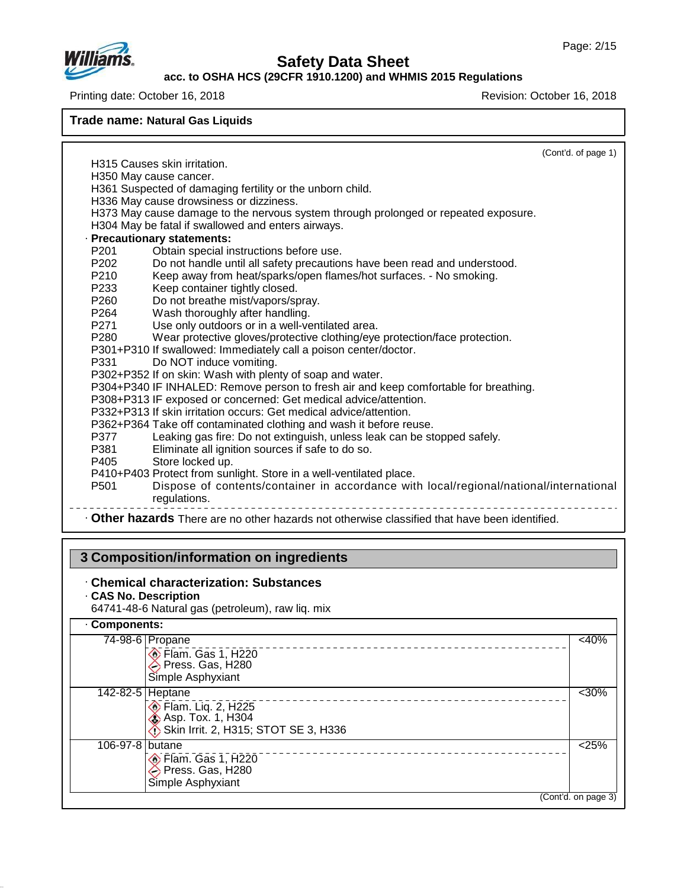

### **acc. to OSHA HCS (29CFR 1910.1200) and WHMIS 2015 Regulations**

Printing date: October 16, 2018 **Printing date: October 16, 2018** 

**Trade name: Natural Gas Liquids**

|                                                                                                                            | (Cont'd. of page 1) |
|----------------------------------------------------------------------------------------------------------------------------|---------------------|
| H315 Causes skin irritation.                                                                                               |                     |
| H350 May cause cancer.                                                                                                     |                     |
| H361 Suspected of damaging fertility or the unborn child.                                                                  |                     |
| H336 May cause drowsiness or dizziness.                                                                                    |                     |
| H373 May cause damage to the nervous system through prolonged or repeated exposure.                                        |                     |
| H304 May be fatal if swallowed and enters airways.                                                                         |                     |
| · Precautionary statements:                                                                                                |                     |
| P <sub>201</sub><br>Obtain special instructions before use.                                                                |                     |
| P202<br>Do not handle until all safety precautions have been read and understood.                                          |                     |
| P <sub>210</sub><br>Keep away from heat/sparks/open flames/hot surfaces. - No smoking.                                     |                     |
| Keep container tightly closed.<br>P233                                                                                     |                     |
| Do not breathe mist/vapors/spray.<br>P <sub>260</sub>                                                                      |                     |
| Wash thoroughly after handling.<br>P264                                                                                    |                     |
| Use only outdoors or in a well-ventilated area.<br>P271<br>P <sub>280</sub>                                                |                     |
| Wear protective gloves/protective clothing/eye protection/face protection.                                                 |                     |
| P301+P310 If swallowed: Immediately call a poison center/doctor.                                                           |                     |
| Do NOT induce vomiting.<br>P331                                                                                            |                     |
| P302+P352 If on skin: Wash with plenty of soap and water.                                                                  |                     |
| P304+P340 IF INHALED: Remove person to fresh air and keep comfortable for breathing.                                       |                     |
| P308+P313 IF exposed or concerned: Get medical advice/attention.                                                           |                     |
| P332+P313 If skin irritation occurs: Get medical advice/attention.                                                         |                     |
| P362+P364 Take off contaminated clothing and wash it before reuse.                                                         |                     |
| Leaking gas fire: Do not extinguish, unless leak can be stopped safely.<br>P377                                            |                     |
| Eliminate all ignition sources if safe to do so.<br>P381                                                                   |                     |
| P405 <b>P</b><br>Store locked up.                                                                                          |                     |
| P410+P403 Protect from sunlight. Store in a well-ventilated place.                                                         |                     |
| Dispose of contents/container in accordance with local/regional/national/international<br>P <sub>501</sub><br>regulations. |                     |
| . Other hazards There are no other hazards not otherwise classified that have been identified.                             |                     |

# **3 Composition/information on ingredients**

## · **Chemical characterization: Substances**

- · **CAS No. Description**
- 64741-48-6 Natural gas (petroleum), raw liq. mix

## · **Components:**

47.0.13

| $74-98-6$ Propane                                                               | $<$ 40%             |
|---------------------------------------------------------------------------------|---------------------|
| $\circledcirc$ Flam. Gas 1, H220<br>Press. Gas, H280                            |                     |
| Simple Asphyxiant                                                               |                     |
| 142-82-5 Heptane                                                                | $<$ 30%             |
| Flam. Liq. 2, H225<br>Asp. Tox. 1, H304<br>Skin Irrit. 2, H315; STOT SE 3, H336 |                     |
| 106-97-8 butane                                                                 | 25%                 |
| <b>Elam. Gas 1, H220</b>                                                        |                     |
| Press. Gas, H280                                                                |                     |
| Simple Asphyxiant                                                               |                     |
|                                                                                 | (Cont'd. on page 3) |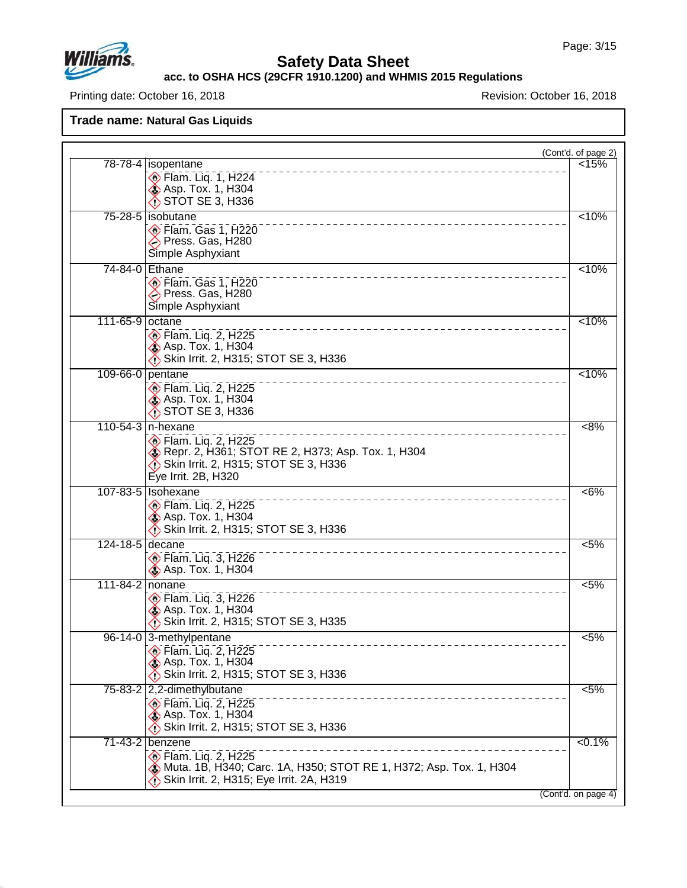

## **Safety Data Sheet**

**acc. to OSHA HCS (29CFR 1910.1200) and WHMIS 2015 Regulations**

Printing date: October 16, 2018 **Printing date: October 16, 2018** 

**Trade name: Natural Gas Liquids**

|                                                                                                                                                                       | (Cont'd. of page 2) |
|-----------------------------------------------------------------------------------------------------------------------------------------------------------------------|---------------------|
| 78-78-4   isopentane<br><b>Elam.</b> Liq. 1, H224<br><b>Asp. Tox. 1, H304</b><br>$\bigcirc$ STOT SE 3, H336                                                           | < 15%               |
| 75-28-5 sobutane<br>Flam. Gas 1, H220<br>Press. Gas, H280<br>Simple Asphyxiant                                                                                        | 10%                 |
| 74-84-0 Ethane<br>Flam. Gas 1, H220<br>Press. Gas, H280<br>Simple Asphyxiant                                                                                          | < 10%               |
| 111-65-9<br>octane<br><b>Elam.</b> Liq. 2, H225<br><b>Asp. Tox. 1, H304</b><br>Skin Irrit. 2, H315; STOT SE 3, H336                                                   | < 10%               |
| 109-66-0 pentane<br>$\circ$ Flam. Liq. 2, H225<br><b>Asp. Tox. 1, H304</b><br>STOT SE 3, H336                                                                         | < 10%               |
| 110-54-3   n-hexane<br>$\circ$ Flam. Liq. 2, H225<br>Repr. 2, H361; STOT RE 2, H373; Asp. Tox. 1, H304<br>Skin Irrit. 2, H315; STOT SE 3, H336<br>Eye Irrit. 2B, H320 | 8%                  |
| 107-83-5   Isohexane<br><b>Elam.</b> Liq. 2, H225<br><b>Asp. Tox. 1, H304</b><br>Skin Irrit. 2, H315; STOT SE 3, H336                                                 | $<6\%$              |
| 124-18-5<br>decane<br><b>Elam. Liq. 3, H226</b><br><b>Asp. Tox. 1, H304</b>                                                                                           | $5\%$               |
| 111-84-2 nonane<br><b>Elam. Liq. 3, H226</b><br><b>&amp; Asp. Tox. 1, H304</b><br>Skin Irrit. 2, H315; STOT SE 3, H335                                                | 5%                  |
| 96-14-0 3-methylpentane<br>$\circ$ Flam. Liq. 2, H225<br><b>&amp; Asp. Tox. 1, H304</b><br>Skin Irrit. 2, H315; STOT SE 3, H336                                       | $< 5\%$             |
| 75-83-2 2,2-dimethylbutane<br>Flam. Liq. 2, H225<br><b>&amp; Asp. Tox. 1, H304</b><br>Skin Irrit. 2, H315; STOT SE 3, H336                                            | 5%                  |
| 71-43-2 benzene<br><b>Elam. Lig. 2, H225</b><br>Muta. 1B, H340; Carc. 1A, H350; STOT RE 1, H372; Asp. Tox. 1, H304                                                    | 50.1%               |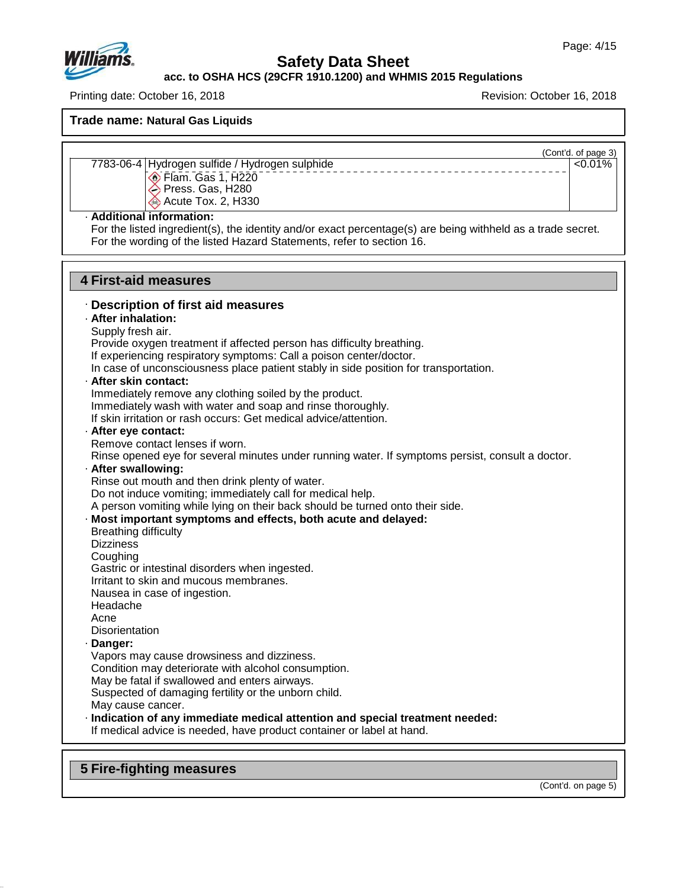

**acc. to OSHA HCS (29CFR 1910.1200) and WHMIS 2015 Regulations**

Printing date: October 16, 2018 Revision: October 16, 2018

**Trade name: Natural Gas Liquids**

(Cont'd. of page 3)

 $\sqrt{0.01\%}$ 

 $\circledcirc$  Flam. Gas 1, H220

7783-06-4 Hydrogen sulfide / Hydrogen sulphide

- Press. Gas, H280
- **Acute Tox. 2, H330**

### · **Additional information:**

For the listed ingredient(s), the identity and/or exact percentage(s) are being withheld as a trade secret. For the wording of the listed Hazard Statements, refer to section 16.

### **4 First-aid measures**

### · **Description of first aid measures**

### · **After inhalation:**

Supply fresh air.

Provide oxygen treatment if affected person has difficulty breathing.

If experiencing respiratory symptoms: Call a poison center/doctor.

In case of unconsciousness place patient stably in side position for transportation.

· **After skin contact:**

Immediately remove any clothing soiled by the product.

Immediately wash with water and soap and rinse thoroughly.

If skin irritation or rash occurs: Get medical advice/attention.

### · **After eye contact:**

Remove contact lenses if worn.

Rinse opened eye for several minutes under running water. If symptoms persist, consult a doctor.

### · **After swallowing:**

Rinse out mouth and then drink plenty of water.

Do not induce vomiting; immediately call for medical help.

A person vomiting while lying on their back should be turned onto their side.

### · **Most important symptoms and effects, both acute and delayed:**

Breathing difficulty **Dizziness Coughing** 

Gastric or intestinal disorders when ingested.

Irritant to skin and mucous membranes.

Nausea in case of ingestion.

### Headache

Acne

**Disorientation** 

### · **Danger:**

47.0.13

Vapors may cause drowsiness and dizziness.

Condition may deteriorate with alcohol consumption.

May be fatal if swallowed and enters airways.

Suspected of damaging fertility or the unborn child.

May cause cancer.

### · **Indication of any immediate medical attention and special treatment needed:**

If medical advice is needed, have product container or label at hand.

## **5 Fire-fighting measures**

(Cont'd. on page 5)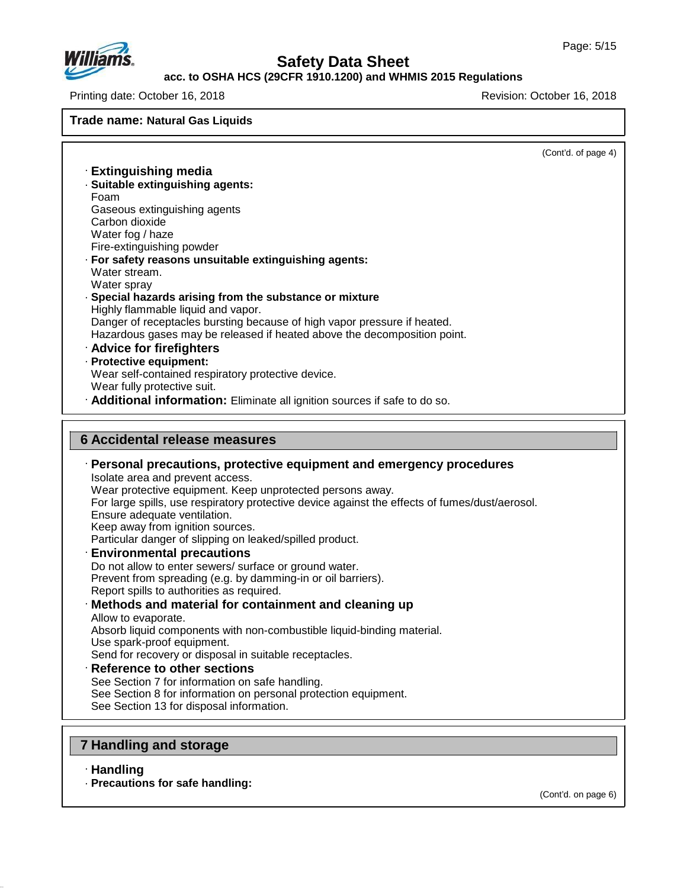

### **acc. to OSHA HCS (29CFR 1910.1200) and WHMIS 2015 Regulations**

Printing date: October 16, 2018 Revision: October 16, 2018

**Trade name: Natural Gas Liquids**

(Cont'd. of page 4) · **Extinguishing media** · **Suitable extinguishing agents:** Foam Gaseous extinguishing agents Carbon dioxide Water fog / haze Fire-extinguishing powder · **For safety reasons unsuitable extinguishing agents:** Water stream. Water sprav · **Special hazards arising from the substance or mixture** Highly flammable liquid and vapor. Danger of receptacles bursting because of high vapor pressure if heated. Hazardous gases may be released if heated above the decomposition point. · **Advice for firefighters** · **Protective equipment:** Wear self-contained respiratory protective device. Wear fully protective suit. · **Additional information:** Eliminate all ignition sources if safe to do so. **6 Accidental release measures** · **Personal precautions, protective equipment and emergency procedures** Isolate area and prevent access. Wear protective equipment. Keep unprotected persons away. For large spills, use respiratory protective device against the effects of fumes/dust/aerosol. Ensure adequate ventilation. Keep away from ignition sources. Particular danger of slipping on leaked/spilled product. · **Environmental precautions** Do not allow to enter sewers/ surface or ground water. Prevent from spreading (e.g. by damming-in or oil barriers). Report spills to authorities as required. · **Methods and material for containment and cleaning up** Allow to evaporate. Absorb liquid components with non-combustible liquid-binding material. Use spark-proof equipment. Send for recovery or disposal in suitable receptacles. · **Reference to other sections** See Section 7 for information on safe handling. See Section 8 for information on personal protection equipment. See Section 13 for disposal information.

## **7 Handling and storage**

· **Handling**

47.0.13

· **Precautions for safe handling:**

(Cont'd. on page 6)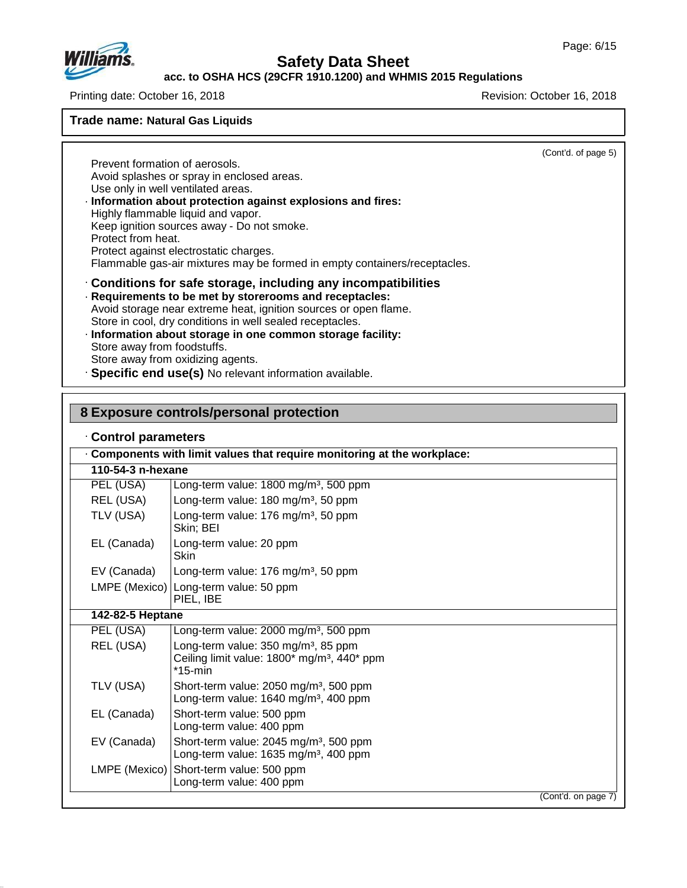

## **acc. to OSHA HCS (29CFR 1910.1200) and WHMIS 2015 Regulations**

Printing date: October 16, 2018 Revision: October 16, 2018

### **Trade name: Natural Gas Liquids**

(Cont'd. of page 5)

Prevent formation of aerosols. Avoid splashes or spray in enclosed areas. Use only in well ventilated areas. · **Information about protection against explosions and fires:** Highly flammable liquid and vapor. Keep ignition sources away - Do not smoke. Protect from heat. Protect against electrostatic charges. Flammable gas-air mixtures may be formed in empty containers/receptacles. · **Conditions for safe storage, including any incompatibilities** · **Requirements to be met by storerooms and receptacles:**

### Avoid storage near extreme heat, ignition sources or open flame. Store in cool, dry conditions in well sealed receptacles.

- · **Information about storage in one common storage facility:** Store away from foodstuffs. Store away from oxidizing agents.
- · **Specific end use(s)** No relevant information available.

### **8 Exposure controls/personal protection**

### · **Control parameters**

47.0.13

|                   | Components with limit values that require monitoring at the workplace:                                                  |                     |
|-------------------|-------------------------------------------------------------------------------------------------------------------------|---------------------|
| 110-54-3 n-hexane |                                                                                                                         |                     |
| PEL (USA)         | Long-term value: 1800 mg/m <sup>3</sup> , 500 ppm                                                                       |                     |
| REL (USA)         | Long-term value: 180 mg/m <sup>3</sup> , 50 ppm                                                                         |                     |
| TLV (USA)         | Long-term value: 176 mg/m <sup>3</sup> , 50 ppm<br>Skin; BEI                                                            |                     |
| EL (Canada)       | Long-term value: 20 ppm<br><b>Skin</b>                                                                                  |                     |
| EV (Canada)       | Long-term value: 176 mg/m <sup>3</sup> , 50 ppm                                                                         |                     |
|                   | LMPE (Mexico) Long-term value: 50 ppm<br>PIEL, IBE                                                                      |                     |
| 142-82-5 Heptane  |                                                                                                                         |                     |
| PEL (USA)         | Long-term value: 2000 mg/m <sup>3</sup> , 500 ppm                                                                       |                     |
| REL (USA)         | Long-term value: $350 \text{ mg/m}^3$ , 85 ppm<br>Ceiling limit value: 1800* mg/m <sup>3</sup> , 440* ppm<br>$*15$ -min |                     |
| TLV (USA)         | Short-term value: 2050 mg/m <sup>3</sup> , 500 ppm<br>Long-term value: 1640 mg/m <sup>3</sup> , 400 ppm                 |                     |
| EL (Canada)       | Short-term value: 500 ppm<br>Long-term value: 400 ppm                                                                   |                     |
| EV (Canada)       | Short-term value: 2045 mg/m <sup>3</sup> , 500 ppm<br>Long-term value: 1635 mg/m <sup>3</sup> , 400 ppm                 |                     |
| LMPE (Mexico)     | Short-term value: 500 ppm<br>Long-term value: 400 ppm                                                                   |                     |
|                   |                                                                                                                         | (Cont'd. on page 7) |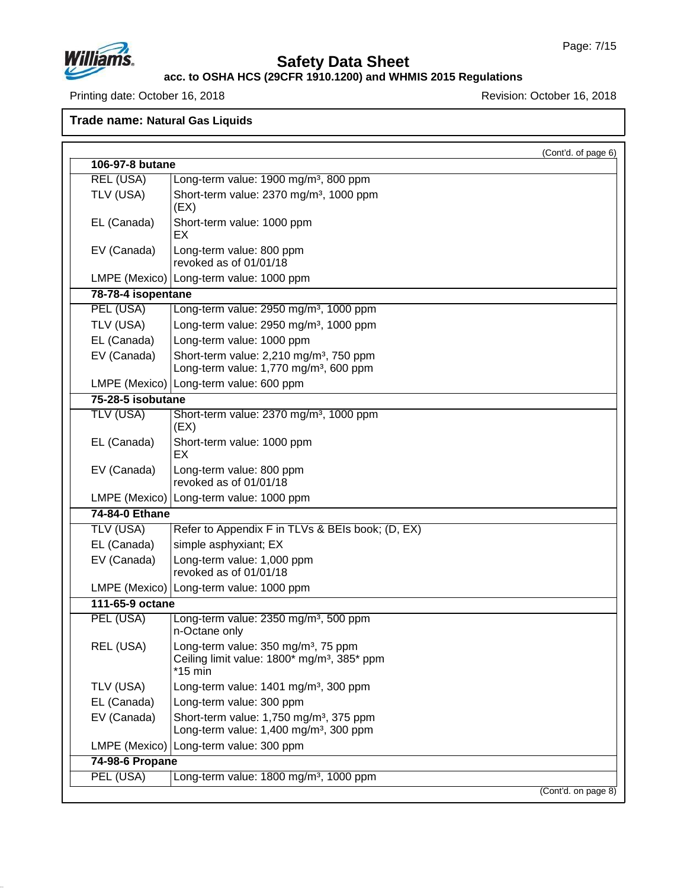

## **Safety Data Sheet**

#### **acc. to OSHA HCS (29CFR 1910.1200) and WHMIS 2015 Regulations**

Printing date: October 16, 2018 **Printing date: October 16, 2018** 

**Trade name: Natural Gas Liquids**

| 106-97-8 butane    |                                                                                                                         | (Cont'd. of page 6) |
|--------------------|-------------------------------------------------------------------------------------------------------------------------|---------------------|
| <b>REL (USA)</b>   | Long-term value: 1900 mg/m <sup>3</sup> , 800 ppm                                                                       |                     |
| TLV (USA)          | Short-term value: 2370 mg/m <sup>3</sup> , 1000 ppm                                                                     |                     |
|                    | (EX)                                                                                                                    |                     |
| EL (Canada)        | Short-term value: 1000 ppm<br>EX                                                                                        |                     |
| EV (Canada)        | Long-term value: 800 ppm<br>revoked as of 01/01/18                                                                      |                     |
|                    | LMPE (Mexico)   Long-term value: 1000 ppm                                                                               |                     |
| 78-78-4 isopentane |                                                                                                                         |                     |
| PEL (USA)          | Long-term value: 2950 mg/m <sup>3</sup> , 1000 ppm                                                                      |                     |
| TLV (USA)          | Long-term value: 2950 mg/m <sup>3</sup> , 1000 ppm                                                                      |                     |
| EL (Canada)        | Long-term value: 1000 ppm                                                                                               |                     |
| EV (Canada)        | Short-term value: 2,210 mg/m <sup>3</sup> , 750 ppm                                                                     |                     |
|                    | Long-term value: 1,770 mg/m <sup>3</sup> , 600 ppm                                                                      |                     |
|                    | LMPE (Mexico)   Long-term value: 600 ppm                                                                                |                     |
| 75-28-5 isobutane  |                                                                                                                         |                     |
| <b>TLV (USA)</b>   | Short-term value: 2370 mg/m <sup>3</sup> , 1000 ppm<br>(EX)                                                             |                     |
| EL (Canada)        | Short-term value: 1000 ppm<br>EX                                                                                        |                     |
| EV (Canada)        | Long-term value: 800 ppm<br>revoked as of 01/01/18                                                                      |                     |
|                    | LMPE (Mexico)   Long-term value: 1000 ppm                                                                               |                     |
| 74-84-0 Ethane     |                                                                                                                         |                     |
| <b>TLV (USA)</b>   | Refer to Appendix F in TLVs & BEIs book; (D, EX)                                                                        |                     |
| EL (Canada)        | simple asphyxiant; EX                                                                                                   |                     |
| EV (Canada)        | Long-term value: 1,000 ppm<br>revoked as of 01/01/18                                                                    |                     |
|                    | LMPE (Mexico)   Long-term value: 1000 ppm                                                                               |                     |
| 111-65-9 octane    |                                                                                                                         |                     |
| PEL (USA)          | Long-term value: 2350 mg/m <sup>3</sup> , 500 ppm<br>n-Octane only                                                      |                     |
| REL (USA)          | Long-term value: 350 mg/m <sup>3</sup> , 75 ppm<br>Ceiling limit value: 1800* mg/m <sup>3</sup> , 385* ppm<br>$*15$ min |                     |
| TLV (USA)          | Long-term value: 1401 mg/m <sup>3</sup> , 300 ppm                                                                       |                     |
| EL (Canada)        | Long-term value: 300 ppm                                                                                                |                     |
| EV (Canada)        | Short-term value: 1,750 mg/m <sup>3</sup> , 375 ppm<br>Long-term value: 1,400 mg/m <sup>3</sup> , 300 ppm               |                     |
|                    | LMPE (Mexico) Long-term value: 300 ppm                                                                                  |                     |
| 74-98-6 Propane    |                                                                                                                         |                     |
| PEL (USA)          | Long-term value: 1800 mg/m <sup>3</sup> , 1000 ppm                                                                      |                     |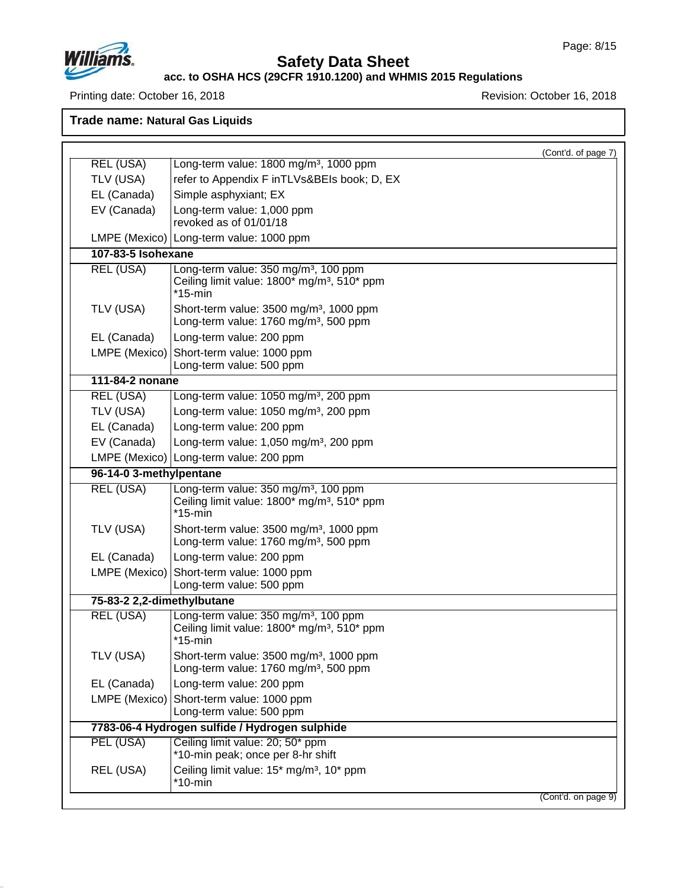

## **Safety Data Sheet**

### **acc. to OSHA HCS (29CFR 1910.1200) and WHMIS 2015 Regulations**

Printing date: October 16, 2018 **Printing date: October 16, 2018** 

**Trade name: Natural Gas Liquids**

|                            | (Cont'd. of page 7)                                                                                                       |  |
|----------------------------|---------------------------------------------------------------------------------------------------------------------------|--|
| REL (USA)                  | Long-term value: 1800 mg/m <sup>3</sup> , 1000 ppm                                                                        |  |
| TLV (USA)                  | refer to Appendix F inTLVs&BEIs book; D, EX                                                                               |  |
| EL (Canada)                | Simple asphyxiant; EX                                                                                                     |  |
| EV (Canada)                | Long-term value: 1,000 ppm<br>revoked as of 01/01/18                                                                      |  |
|                            | LMPE (Mexico)   Long-term value: 1000 ppm                                                                                 |  |
| 107-83-5 Isohexane         |                                                                                                                           |  |
| <b>REL (USA)</b>           | Long-term value: 350 mg/m <sup>3</sup> , 100 ppm<br>Ceiling limit value: 1800* mg/m <sup>3</sup> , 510* ppm<br>$*15$ -min |  |
| TLV (USA)                  | Short-term value: 3500 mg/m <sup>3</sup> , 1000 ppm<br>Long-term value: 1760 mg/m <sup>3</sup> , 500 ppm                  |  |
| EL (Canada)                | Long-term value: 200 ppm                                                                                                  |  |
| LMPE (Mexico)              | Short-term value: 1000 ppm<br>Long-term value: 500 ppm                                                                    |  |
| 111-84-2 nonane            |                                                                                                                           |  |
| REL (USA)                  | Long-term value: 1050 mg/m <sup>3</sup> , 200 ppm                                                                         |  |
| TLV (USA)                  | Long-term value: 1050 mg/m <sup>3</sup> , 200 ppm                                                                         |  |
| EL (Canada)                | Long-term value: 200 ppm                                                                                                  |  |
| EV (Canada)                | Long-term value: 1,050 mg/m <sup>3</sup> , 200 ppm                                                                        |  |
|                            | LMPE (Mexico) Long-term value: 200 ppm                                                                                    |  |
| 96-14-0 3-methylpentane    |                                                                                                                           |  |
| <b>REL (USA)</b>           | Long-term value: 350 mg/m <sup>3</sup> , 100 ppm<br>Ceiling limit value: 1800* mg/m <sup>3</sup> , 510* ppm<br>$*15$ -min |  |
| TLV (USA)                  | Short-term value: 3500 mg/m <sup>3</sup> , 1000 ppm<br>Long-term value: 1760 mg/m <sup>3</sup> , 500 ppm                  |  |
| EL (Canada)                | Long-term value: 200 ppm                                                                                                  |  |
|                            | LMPE (Mexico) Short-term value: 1000 ppm<br>Long-term value: 500 ppm                                                      |  |
| 75-83-2 2,2-dimethylbutane |                                                                                                                           |  |
| <b>REL (USA)</b>           | Long-term value: 350 mg/m <sup>3</sup> , 100 ppm<br>Ceiling limit value: 1800* mg/m <sup>3</sup> , 510* ppm<br>$*15$ -min |  |
| TLV (USA)                  | Short-term value: 3500 mg/m <sup>3</sup> , 1000 ppm<br>Long-term value: 1760 mg/m <sup>3</sup> , 500 ppm                  |  |
| EL (Canada)                | Long-term value: 200 ppm                                                                                                  |  |
| LMPE (Mexico)              | Short-term value: 1000 ppm<br>Long-term value: 500 ppm                                                                    |  |
|                            | 7783-06-4 Hydrogen sulfide / Hydrogen sulphide                                                                            |  |
| PEL (USA)                  | Ceiling limit value: 20; 50* ppm<br>*10-min peak; once per 8-hr shift                                                     |  |
| REL (USA)                  | Ceiling limit value: 15* mg/m <sup>3</sup> , 10* ppm                                                                      |  |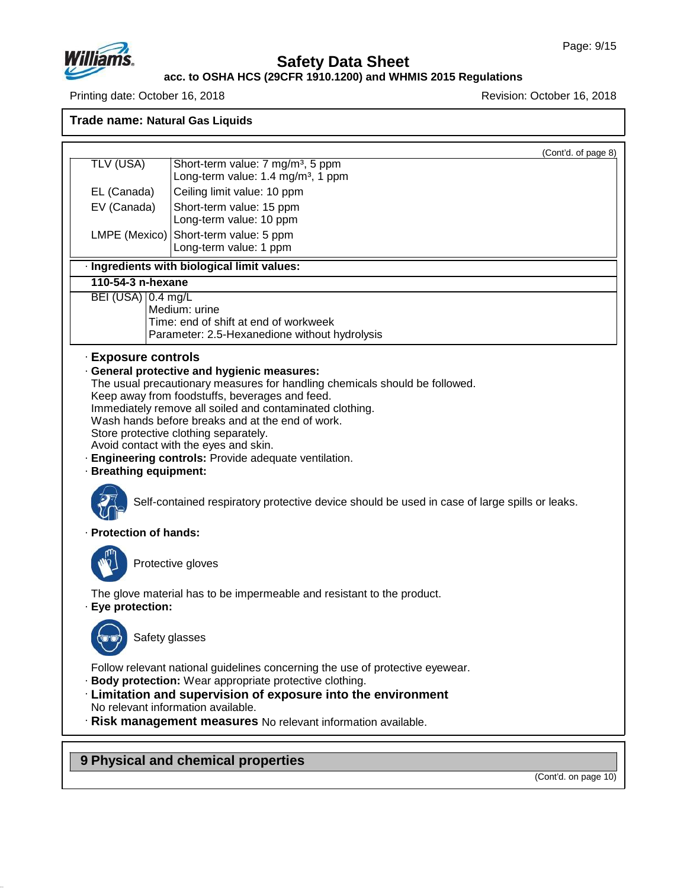

### **acc. to OSHA HCS (29CFR 1910.1200) and WHMIS 2015 Regulations**

Printing date: October 16, 2018 Revision: October 16, 2018

**Trade name: Natural Gas Liquids** (Cont'd. of page 8) TLV (USA) Short-term value: 7 mg/m<sup>3</sup>, 5 ppm Long-term value:  $1.4 \text{ mg/m}^3$ , 1 ppm EL (Canada) Ceiling limit value: 10 ppm EV (Canada) Short-term value: 15 ppm Long-term value: 10 ppm LMPE (Mexico) Short-term value: 5 ppm Long-term value: 1 ppm · **Ingredients with biological limit values: 110-54-3 n-hexane**  $BEI (USA)$  0.4 mg/L Medium: urine Time: end of shift at end of workweek Parameter: 2.5-Hexanedione without hydrolysis · **Exposure controls** · **General protective and hygienic measures:** The usual precautionary measures for handling chemicals should be followed. Keep away from foodstuffs, beverages and feed. Immediately remove all soiled and contaminated clothing. Wash hands before breaks and at the end of work. Store protective clothing separately. Avoid contact with the eyes and skin. · **Engineering controls:** Provide adequate ventilation. · **Breathing equipment:** Self-contained respiratory protective device should be used in case of large spills or leaks. · **Protection of hands:** Protective gloves The glove material has to be impermeable and resistant to the product. · **Eye protection:** Safety glasses Follow relevant national guidelines concerning the use of protective eyewear. · **Body protection:** Wear appropriate protective clothing. · **Limitation and supervision of exposure into the environment** No relevant information available. · **Risk management measures** No relevant information available.

**9 Physical and chemical properties**

47.0.13

(Cont'd. on page 10)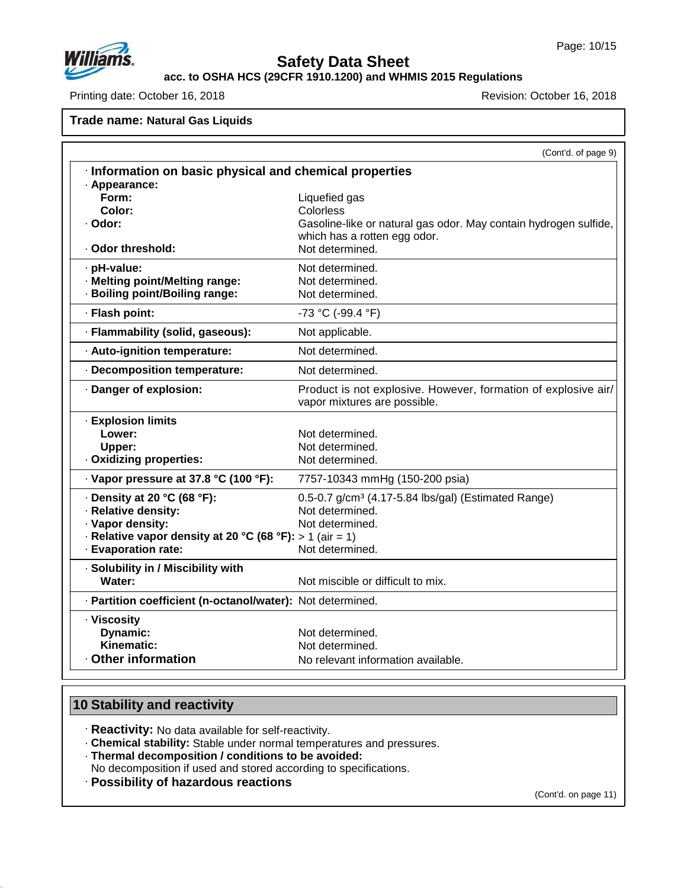

**acc. to OSHA HCS (29CFR 1910.1200) and WHMIS 2015 Regulations**

Printing date: October 16, 2018 **Printing date: October 16, 2018** 

**Trade name: Natural Gas Liquids**

|                                                                                                                                                                       | (Cont'd. of page 9)                                                                                                                               |
|-----------------------------------------------------------------------------------------------------------------------------------------------------------------------|---------------------------------------------------------------------------------------------------------------------------------------------------|
| · Information on basic physical and chemical properties                                                                                                               |                                                                                                                                                   |
| · Appearance:<br>Form:<br>Color:<br>· Odor:<br>· Odor threshold:                                                                                                      | Liquefied gas<br>Colorless<br>Gasoline-like or natural gas odor. May contain hydrogen sulfide,<br>which has a rotten egg odor.<br>Not determined. |
| · pH-value:<br>· Melting point/Melting range:<br>· Boiling point/Boiling range:                                                                                       | Not determined.<br>Not determined.<br>Not determined.                                                                                             |
| · Flash point:                                                                                                                                                        | -73 °C (-99.4 °F)                                                                                                                                 |
| · Flammability (solid, gaseous):                                                                                                                                      | Not applicable.                                                                                                                                   |
| · Auto-ignition temperature:                                                                                                                                          | Not determined.                                                                                                                                   |
| · Decomposition temperature:                                                                                                                                          | Not determined.                                                                                                                                   |
| Danger of explosion:                                                                                                                                                  | Product is not explosive. However, formation of explosive air/<br>vapor mixtures are possible.                                                    |
| · Explosion limits<br>Lower:<br>Upper:<br>Oxidizing properties:                                                                                                       | Not determined.<br>Not determined.<br>Not determined.                                                                                             |
| · Vapor pressure at 37.8 °C (100 °F):                                                                                                                                 | 7757-10343 mmHg (150-200 psia)                                                                                                                    |
| $\cdot$ Density at 20 °C (68 °F):<br>· Relative density:<br>· Vapor density:<br>$\cdot$ Relative vapor density at 20 °C (68 °F): > 1 (air = 1)<br>· Evaporation rate: | 0.5-0.7 g/cm <sup>3</sup> (4.17-5.84 lbs/gal) (Estimated Range)<br>Not determined.<br>Not determined.<br>Not determined.                          |
| · Solubility in / Miscibility with<br>Water:                                                                                                                          | Not miscible or difficult to mix.                                                                                                                 |
| · Partition coefficient (n-octanol/water): Not determined.                                                                                                            |                                                                                                                                                   |
| · Viscosity<br>Dynamic:<br>Kinematic:<br>Other information                                                                                                            | Not determined.<br>Not determined.<br>No relevant information available.                                                                          |

## **10 Stability and reactivity**

47.0.13

· **Reactivity:** No data available for self-reactivity.

· **Chemical stability:** Stable under normal temperatures and pressures.

· **Thermal decomposition / conditions to be avoided:**

No decomposition if used and stored according to specifications.

· **Possibility of hazardous reactions**

(Cont'd. on page 11)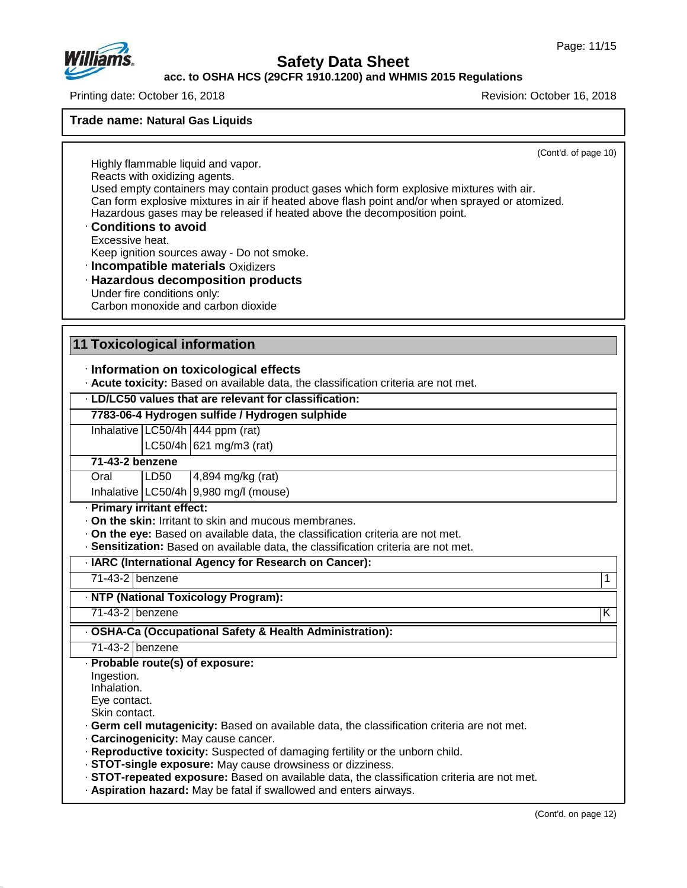

### **acc. to OSHA HCS (29CFR 1910.1200) and WHMIS 2015 Regulations**

Printing date: October 16, 2018 Revision: October 16, 2018

### **Trade name: Natural Gas Liquids**

(Cont'd. of page 10)

Highly flammable liquid and vapor. Reacts with oxidizing agents. Used empty containers may contain product gases which form explosive mixtures with air. Can form explosive mixtures in air if heated above flash point and/or when sprayed or atomized. Hazardous gases may be released if heated above the decomposition point.

· **Conditions to avoid** Excessive heat.

Keep ignition sources away - Do not smoke.

- · **Incompatible materials** Oxidizers
- · **Hazardous decomposition products** Under fire conditions only: Carbon monoxide and carbon dioxide

### **11 Toxicological information**

### · **Information on toxicological effects**

· **Acute toxicity:** Based on available data, the classification criteria are not met.

### · **LD/LC50 values that are relevant for classification:**

### **7783-06-4 Hydrogen sulfide / Hydrogen sulphide**

Inhalative LC50/4h 444 ppm (rat)

 $LC50/4h$  621 mg/m3 (rat)

### **71-43-2 benzene**

Oral LD50 4,894 mg/kg (rat) Inhalative LC50/4h 9,980 mg/l (mouse)

### · **Primary irritant effect:**

- · **On the skin:** Irritant to skin and mucous membranes.
- · **On the eye:** Based on available data, the classification criteria are not met.
- · **Sensitization:** Based on available data, the classification criteria are not met.

### · **IARC (International Agency for Research on Cancer):**

71-43-2 benzene 1

· **NTP (National Toxicology Program):**

71-43-2 benzene K

### · **OSHA-Ca (Occupational Safety & Health Administration):**

71-43-2 benzene

#### · **Probable route(s) of exposure:**

Ingestion.

Inhalation.

47.0.13

Eye contact.

Skin contact.

- · **Germ cell mutagenicity:** Based on available data, the classification criteria are not met.
- · **Carcinogenicity:** May cause cancer.
- · **Reproductive toxicity:** Suspected of damaging fertility or the unborn child.
- · **STOT-single exposure:** May cause drowsiness ordizziness.
- · **STOT-repeated exposure:** Based on available data, the classification criteria are not met.
- · **Aspiration hazard:** May be fatal if swallowed and enters airways.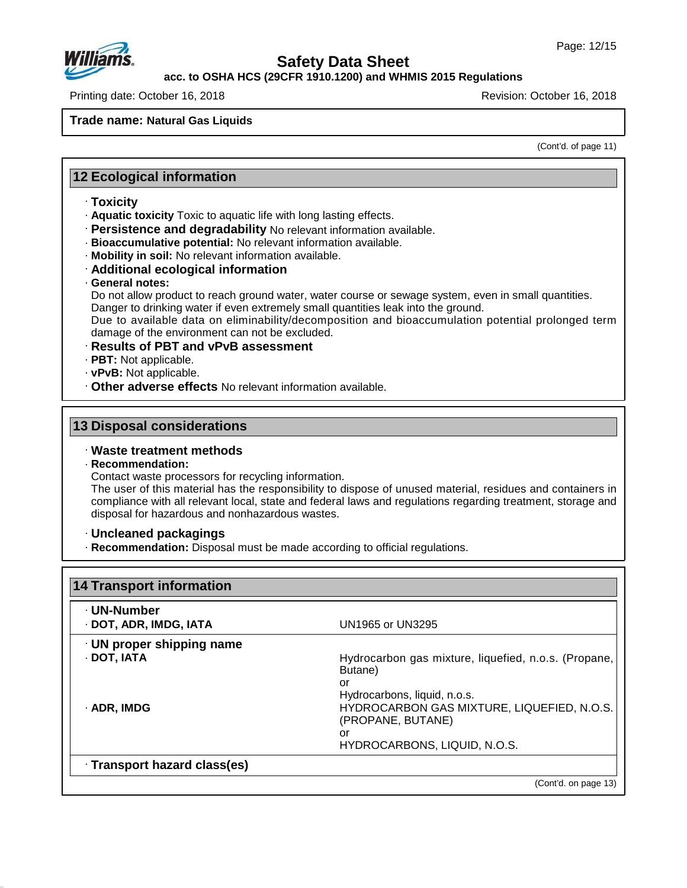

**acc. to OSHA HCS (29CFR 1910.1200) and WHMIS 2015 Regulations**

Printing date: October 16, 2018 Revision: October 16, 2018

### **Trade name: Natural Gas Liquids**

(Cont'd. of page 11)

### **12 Ecological information**

- · **Toxicity**
- · **Aquatic toxicity** Toxic to aquatic life with long lasting effects.
- · **Persistence and degradability** No relevant information available.
- · **Bioaccumulative potential:** No relevant information available.
- · **Mobility in soil:** No relevant information available.
- · **Additional ecological information**
- · **General notes:**

Do not allow product to reach ground water, water course or sewage system, even in small quantities. Danger to drinking water if even extremely small quantities leak into the ground.

Due to available data on eliminability/decomposition and bioaccumulation potential prolonged term damage of the environment can not be excluded.

#### · **Results of PBT and vPvB assessment**

- · **PBT:** Not applicable.
- · **vPvB:** Not applicable.
- · **Other adverse effects** No relevant information available.

### **13 Disposal considerations**

### · **Waste treatment methods**

#### · **Recommendation:**

47.0.13

Contact waste processors for recycling information.

The user of this material has the responsibility to dispose of unused material, residues and containers in compliance with all relevant local, state and federal laws and regulations regarding treatment, storage and disposal for hazardous and nonhazardous wastes.

### · **Uncleaned packagings**

· **Recommendation:** Disposal must be made according to official regulations.

| · DOT, ADR, IMDG, IATA          | UN1965 or UN3295                                                                                                                                                                                               |
|---------------------------------|----------------------------------------------------------------------------------------------------------------------------------------------------------------------------------------------------------------|
| $\cdot$ UN proper shipping name |                                                                                                                                                                                                                |
| · DOT, IATA<br>· ADR, IMDG      | Hydrocarbon gas mixture, liquefied, n.o.s. (Propane,<br>Butane)<br>or<br>Hydrocarbons, liquid, n.o.s.<br>HYDROCARBON GAS MIXTURE, LIQUEFIED, N.O.S.<br>(PROPANE, BUTANE)<br>or<br>HYDROCARBONS, LIQUID, N.O.S. |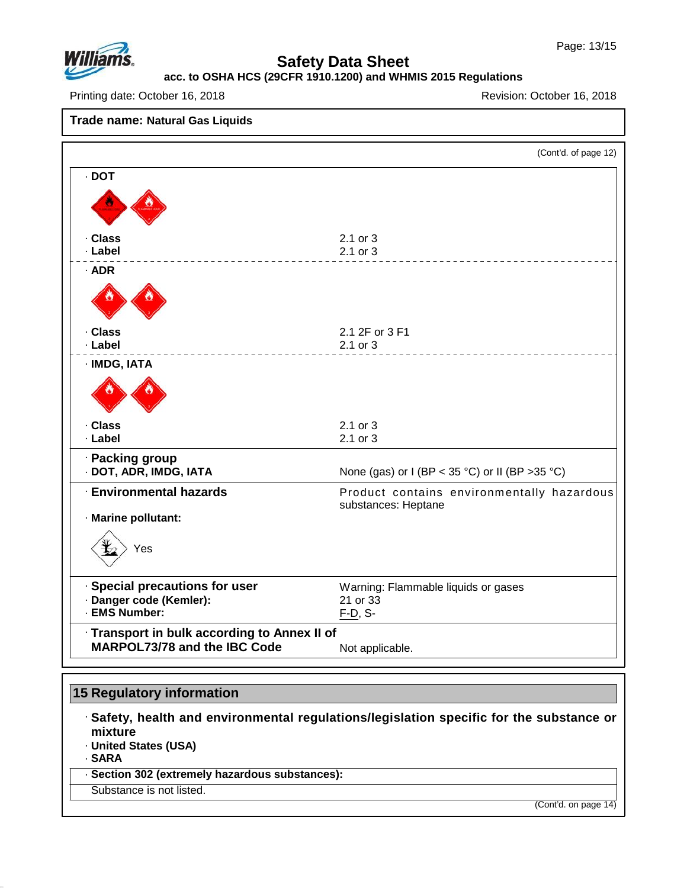

## **acc. to OSHA HCS (29CFR 1910.1200) and WHMIS 2015 Regulations**

Printing date: October 16, 2018 Revision: October 16, 2018

**Trade name: Natural Gas Liquids** (Cont'd. of page 12) · **DOT** · **Class** 2.1 or 3 · **Label** 2.1 or 3 · **ADR** · **Class** 2.1 2F or 3 F1 · **Label** 2.1 or 3 · **IMDG, IATA** · **Class** 2.1 or 3 · **Label** 2.1 or 3 · **Packing group None (gas) or I (BP < 35 °C) or II (BP >35 °C)** · **Environmental hazards** Product contains environmentally hazardous substances: Heptane · **Marine pollutant:** Yes · **Special precautions for user** Warning: Flammable liquids or gases · **Danger code (Kemler):** 21 or 33 · **EMS Number:** F-D, S- · **Transport in bulk according to Annex II of MARPOL73/78** and the IBC Code Not applicable.

## **15 Regulatory information**

· **Safety, health and environmental regulations/legislation specific for the substance or mixture**

· **United States (USA)**

· **SARA**

47.0.13

· **Section 302 (extremely hazardous substances):**

Substance is not listed.

(Cont'd. on page 14)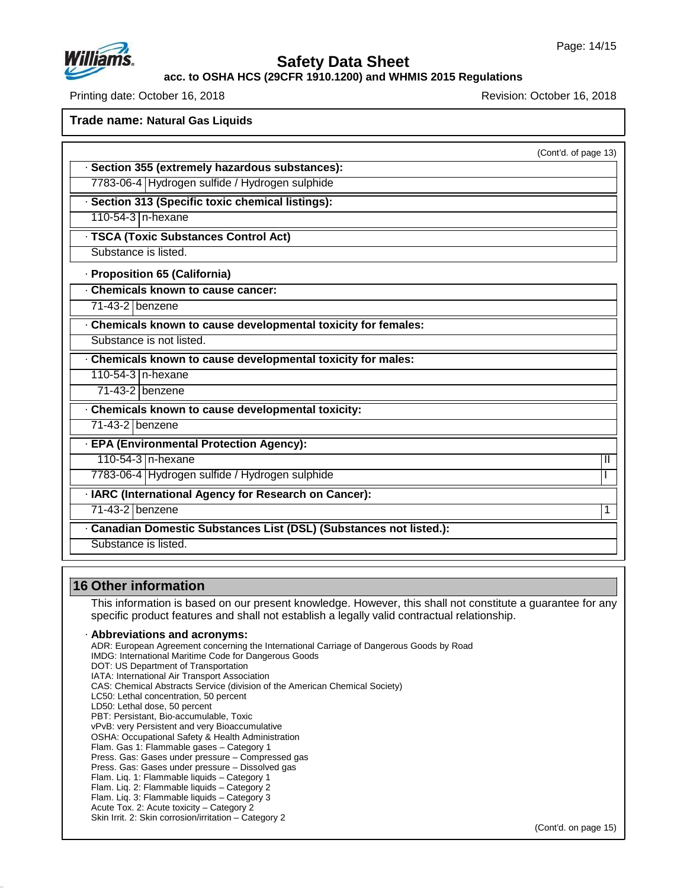

### **acc. to OSHA HCS (29CFR 1910.1200) and WHMIS 2015 Regulations**

Printing date: October 16, 2018 **Printing date: October 16, 2018** Revision: October 16, 2018

**Trade name: Natural Gas Liquids**

|                                                                     | (Cont'd. of page 13) |
|---------------------------------------------------------------------|----------------------|
| Section 355 (extremely hazardous substances):                       |                      |
| 7783-06-4 Hydrogen sulfide / Hydrogen sulphide                      |                      |
| Section 313 (Specific toxic chemical listings):                     |                      |
| 110-54-3   n-hexane                                                 |                      |
| · TSCA (Toxic Substances Control Act)                               |                      |
| Substance is listed.                                                |                      |
| · Proposition 65 (California)                                       |                      |
| Chemicals known to cause cancer:                                    |                      |
| 71-43-2 benzene                                                     |                      |
| Chemicals known to cause developmental toxicity for females:        |                      |
| Substance is not listed.                                            |                      |
| Chemicals known to cause developmental toxicity for males:          |                      |
| 110-54-3 n-hexane                                                   |                      |
| 71-43-2 benzene                                                     |                      |
| Chemicals known to cause developmental toxicity:                    |                      |
| 71-43-2 benzene                                                     |                      |
| · EPA (Environmental Protection Agency):                            |                      |
| 110-54-3 n-hexane                                                   | Ш                    |
| 7783-06-4 Hydrogen sulfide / Hydrogen sulphide                      |                      |
| · IARC (International Agency for Research on Cancer):               |                      |
| $71-43-2$ benzene                                                   | 1                    |
| · Canadian Domestic Substances List (DSL) (Substances not listed.): |                      |
| Substance is listed.                                                |                      |

## **16 Other information**

47.0.13

This information is based on our present knowledge. However, this shall not constitute a guarantee for any specific product features and shall not establish a legally valid contractual relationship.

### · **Abbreviations and acronyms:**

ADR: European Agreement concerning the International Carriage of Dangerous Goods by Road IMDG: International Maritime Code for Dangerous Goods DOT: US Department of Transportation IATA: International Air Transport Association CAS: Chemical Abstracts Service (division of the American Chemical Society) LC50: Lethal concentration, 50 percent LD50: Lethal dose, 50 percent PBT: Persistant, Bio-accumulable, Toxic vPvB: very Persistent and very Bioaccumulative OSHA: Occupational Safety & Health Administration Flam. Gas 1: Flammable gases – Category 1 Press. Gas: Gases under pressure – Compressed gas Press. Gas: Gases under pressure – Dissolved gas Flam. Liq. 1: Flammable liquids – Category 1 Flam. Liq. 2: Flammable liquids – Category 2 Flam. Liq. 3: Flammable liquids – Category 3 Acute Tox. 2: Acute toxicity – Category 2 Skin Irrit. 2: Skin corrosion/irritation – Category 2

(Cont'd. on page 15)